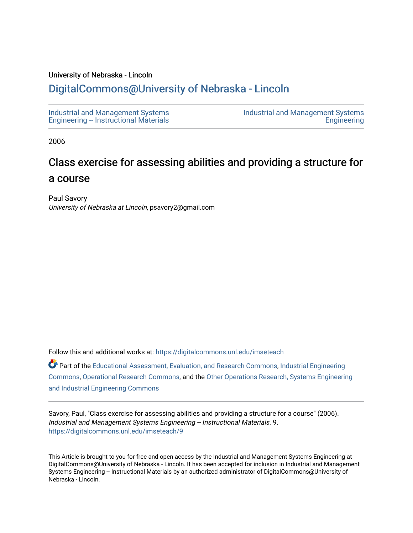## University of Nebraska - Lincoln

## [DigitalCommons@University of Nebraska - Lincoln](https://digitalcommons.unl.edu/)

[Industrial and Management Systems](https://digitalcommons.unl.edu/imseteach)  [Engineering -- Instructional Materials](https://digitalcommons.unl.edu/imseteach)  [Industrial and Management Systems](https://digitalcommons.unl.edu/imse)  **Engineering** 

2006

## Class exercise for assessing abilities and providing a structure for a course

Paul Savory University of Nebraska at Lincoln, psavory2@gmail.com

Follow this and additional works at: [https://digitalcommons.unl.edu/imseteach](https://digitalcommons.unl.edu/imseteach?utm_source=digitalcommons.unl.edu%2Fimseteach%2F9&utm_medium=PDF&utm_campaign=PDFCoverPages) 

Part of the [Educational Assessment, Evaluation, and Research Commons](http://network.bepress.com/hgg/discipline/796?utm_source=digitalcommons.unl.edu%2Fimseteach%2F9&utm_medium=PDF&utm_campaign=PDFCoverPages), [Industrial Engineering](http://network.bepress.com/hgg/discipline/307?utm_source=digitalcommons.unl.edu%2Fimseteach%2F9&utm_medium=PDF&utm_campaign=PDFCoverPages)  [Commons](http://network.bepress.com/hgg/discipline/307?utm_source=digitalcommons.unl.edu%2Fimseteach%2F9&utm_medium=PDF&utm_campaign=PDFCoverPages), [Operational Research Commons](http://network.bepress.com/hgg/discipline/308?utm_source=digitalcommons.unl.edu%2Fimseteach%2F9&utm_medium=PDF&utm_campaign=PDFCoverPages), and the [Other Operations Research, Systems Engineering](http://network.bepress.com/hgg/discipline/310?utm_source=digitalcommons.unl.edu%2Fimseteach%2F9&utm_medium=PDF&utm_campaign=PDFCoverPages)  [and Industrial Engineering Commons](http://network.bepress.com/hgg/discipline/310?utm_source=digitalcommons.unl.edu%2Fimseteach%2F9&utm_medium=PDF&utm_campaign=PDFCoverPages) 

Savory, Paul, "Class exercise for assessing abilities and providing a structure for a course" (2006). Industrial and Management Systems Engineering -- Instructional Materials. 9. [https://digitalcommons.unl.edu/imseteach/9](https://digitalcommons.unl.edu/imseteach/9?utm_source=digitalcommons.unl.edu%2Fimseteach%2F9&utm_medium=PDF&utm_campaign=PDFCoverPages) 

This Article is brought to you for free and open access by the Industrial and Management Systems Engineering at DigitalCommons@University of Nebraska - Lincoln. It has been accepted for inclusion in Industrial and Management Systems Engineering -- Instructional Materials by an authorized administrator of DigitalCommons@University of Nebraska - Lincoln.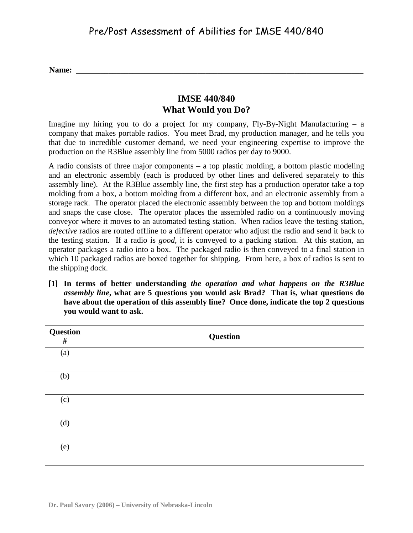**Name: \_\_\_\_\_\_\_\_\_\_\_\_\_\_\_\_\_\_\_\_\_\_\_\_\_\_\_\_\_\_\_\_\_\_\_\_\_\_\_\_\_\_\_\_\_\_\_\_\_\_\_\_\_\_\_\_\_\_\_\_\_\_\_\_\_\_\_\_\_\_\_**

## **IMSE 440/840 What Would you Do?**

Imagine my hiring you to do a project for my company,  $Fly-By-Night$  Manufacturing – a company that makes portable radios. You meet Brad, my production manager, and he tells you that due to incredible customer demand, we need your engineering expertise to improve the production on the R3Blue assembly line from 5000 radios per day to 9000.

A radio consists of three major components – a top plastic molding, a bottom plastic modeling and an electronic assembly (each is produced by other lines and delivered separately to this assembly line). At the R3Blue assembly line, the first step has a production operator take a top molding from a box, a bottom molding from a different box, and an electronic assembly from a storage rack. The operator placed the electronic assembly between the top and bottom moldings and snaps the case close. The operator places the assembled radio on a continuously moving conveyor where it moves to an automated testing station. When radios leave the testing station, *defective* radios are routed offline to a different operator who adjust the radio and send it back to the testing station. If a radio is *good*, it is conveyed to a packing station. At this station, an operator packages a radio into a box. The packaged radio is then conveyed to a final station in which 10 packaged radios are boxed together for shipping. From here, a box of radios is sent to the shipping dock.

**[1] In terms of better understanding** *the operation and what happens on the R3Blue assembly line***, what are 5 questions you would ask Brad? That is, what questions do have about the operation of this assembly line? Once done, indicate the top 2 questions you would want to ask.**

| <b>Question</b><br>$\#$ | <b>Question</b> |
|-------------------------|-----------------|
| (a)                     |                 |
| (b)                     |                 |
| (c)                     |                 |
| (d)                     |                 |
| (e)                     |                 |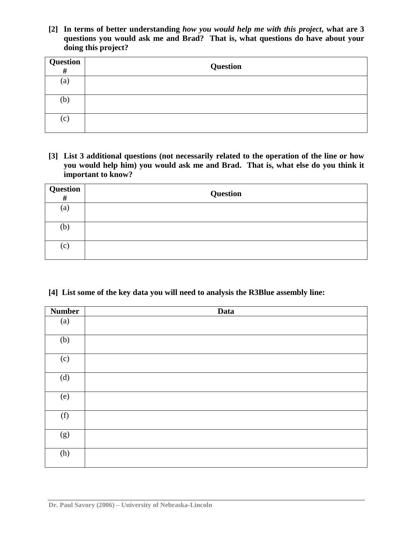**[2] In terms of better understanding** *how you would help me with this project***, what are 3 questions you would ask me and Brad? That is, what questions do have about your doing this project?** 

| <b>Question</b> # | Question |
|-------------------|----------|
| (a)               |          |
| (b)               |          |
| (c)               |          |

**[3] List 3 additional questions (not necessarily related to the operation of the line or how you would help him) you would ask me and Brad. That is, what else do you think it important to know?**

| $\begin{array}{c c} \textbf{Question} & \textbf{\#} & \textbf{\#} \\ \hline \textbf{\#} & \textbf{\#} & \textbf{\#} \end{array}$ | <b>Question</b> |
|----------------------------------------------------------------------------------------------------------------------------------|-----------------|
| (a)                                                                                                                              |                 |
| (b)                                                                                                                              |                 |
| (c)                                                                                                                              |                 |

**[4] List some of the key data you will need to analysis the R3Blue assembly line:**

| <b>Number</b> | Data |
|---------------|------|
| (a)           |      |
| (b)           |      |
| (c)           |      |
| (d)           |      |
| (e)           |      |
| (f)           |      |
| (g)           |      |
| (h)           |      |